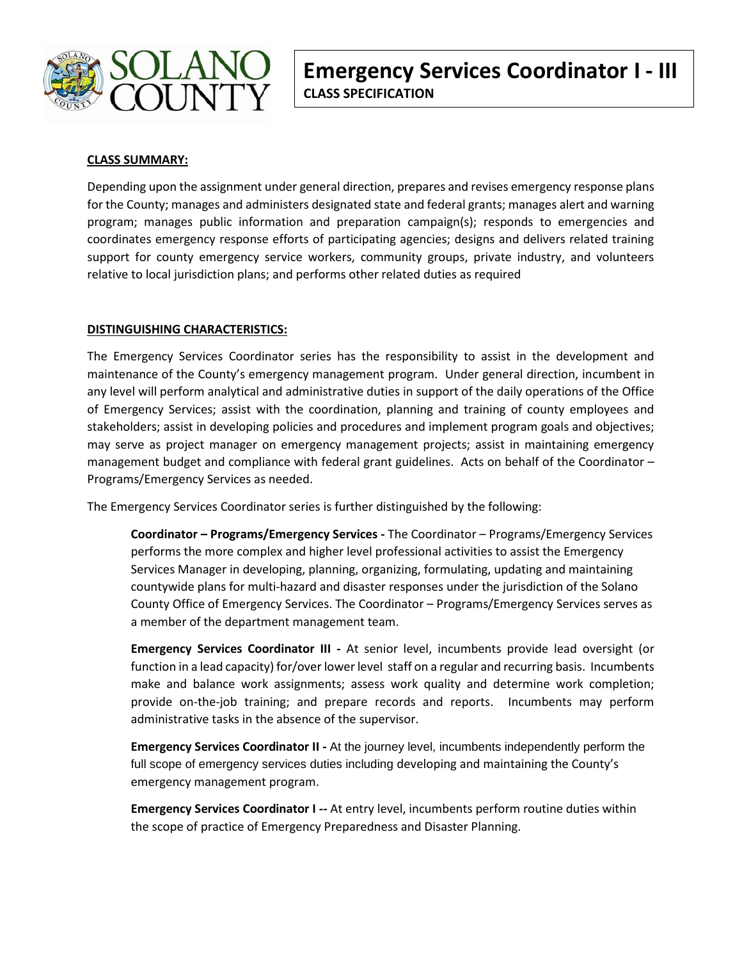

# **CLASS SUMMARY:**

Depending upon the assignment under general direction, prepares and revises emergency response plans for the County; manages and administers designated state and federal grants; manages alert and warning program; manages public information and preparation campaign(s); responds to emergencies and coordinates emergency response efforts of participating agencies; designs and delivers related training support for county emergency service workers, community groups, private industry, and volunteers relative to local jurisdiction plans; and performs other related duties as required

## **DISTINGUISHING CHARACTERISTICS:**

The Emergency Services Coordinator series has the responsibility to assist in the development and maintenance of the County's emergency management program. Under general direction, incumbent in any level will perform analytical and administrative duties in support of the daily operations of the Office of Emergency Services; assist with the coordination, planning and training of county employees and stakeholders; assist in developing policies and procedures and implement program goals and objectives; may serve as project manager on emergency management projects; assist in maintaining emergency management budget and compliance with federal grant guidelines. Acts on behalf of the Coordinator – Programs/Emergency Services as needed.

The Emergency Services Coordinator series is further distinguished by the following:

**Coordinator – Programs/Emergency Services -** The Coordinator – Programs/Emergency Services performs the more complex and higher level professional activities to assist the Emergency Services Manager in developing, planning, organizing, formulating, updating and maintaining countywide plans for multi-hazard and disaster responses under the jurisdiction of the Solano County Office of Emergency Services. The Coordinator – Programs/Emergency Services serves as a member of the department management team.

**Emergency Services Coordinator III -** At senior level, incumbents provide lead oversight (or function in a lead capacity) for/over lower level staff on a regular and recurring basis. Incumbents make and balance work assignments; assess work quality and determine work completion; provide on-the-job training; and prepare records and reports. Incumbents may perform administrative tasks in the absence of the supervisor.

**Emergency Services Coordinator II -** At the journey level, incumbents independently perform the full scope of emergency services duties including developing and maintaining the County's emergency management program.

**Emergency Services Coordinator I --** At entry level, incumbents perform routine duties within the scope of practice of Emergency Preparedness and Disaster Planning.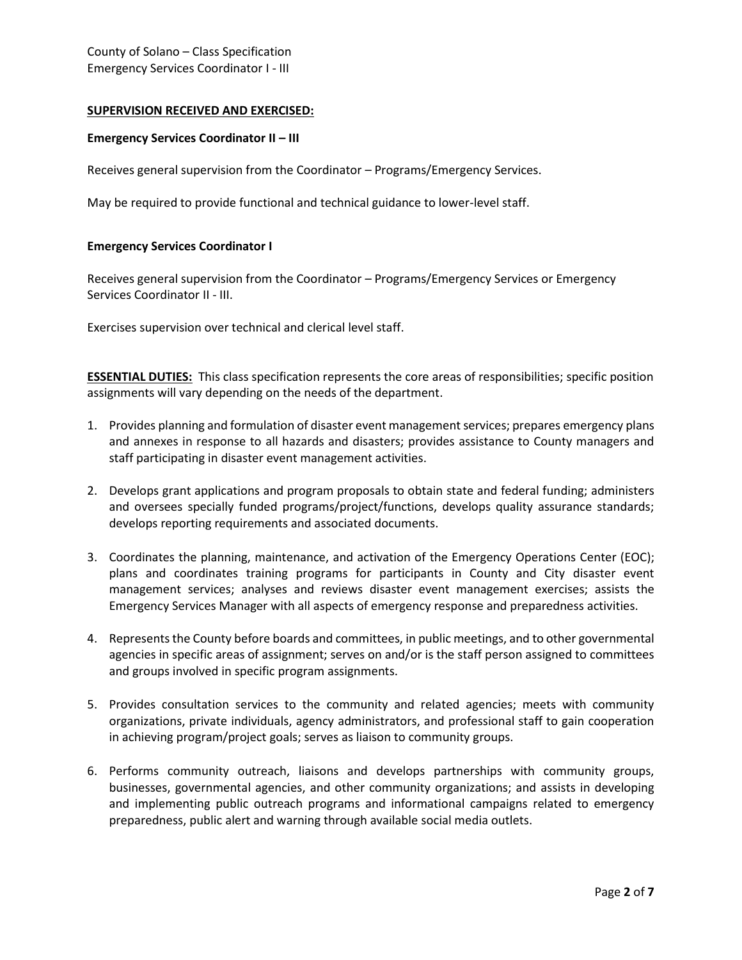## **SUPERVISION RECEIVED AND EXERCISED:**

#### **Emergency Services Coordinator II – III**

Receives general supervision from the Coordinator – Programs/Emergency Services.

May be required to provide functional and technical guidance to lower-level staff.

#### **Emergency Services Coordinator I**

Receives general supervision from the Coordinator – Programs/Emergency Services or Emergency Services Coordinator II - III.

Exercises supervision over technical and clerical level staff.

**ESSENTIAL DUTIES:** This class specification represents the core areas of responsibilities; specific position assignments will vary depending on the needs of the department.

- 1. Provides planning and formulation of disaster event management services; prepares emergency plans and annexes in response to all hazards and disasters; provides assistance to County managers and staff participating in disaster event management activities.
- 2. Develops grant applications and program proposals to obtain state and federal funding; administers and oversees specially funded programs/project/functions, develops quality assurance standards; develops reporting requirements and associated documents.
- 3. Coordinates the planning, maintenance, and activation of the Emergency Operations Center (EOC); plans and coordinates training programs for participants in County and City disaster event management services; analyses and reviews disaster event management exercises; assists the Emergency Services Manager with all aspects of emergency response and preparedness activities.
- 4. Represents the County before boards and committees, in public meetings, and to other governmental agencies in specific areas of assignment; serves on and/or is the staff person assigned to committees and groups involved in specific program assignments.
- 5. Provides consultation services to the community and related agencies; meets with community organizations, private individuals, agency administrators, and professional staff to gain cooperation in achieving program/project goals; serves as liaison to community groups.
- 6. Performs community outreach, liaisons and develops partnerships with community groups, businesses, governmental agencies, and other community organizations; and assists in developing and implementing public outreach programs and informational campaigns related to emergency preparedness, public alert and warning through available social media outlets.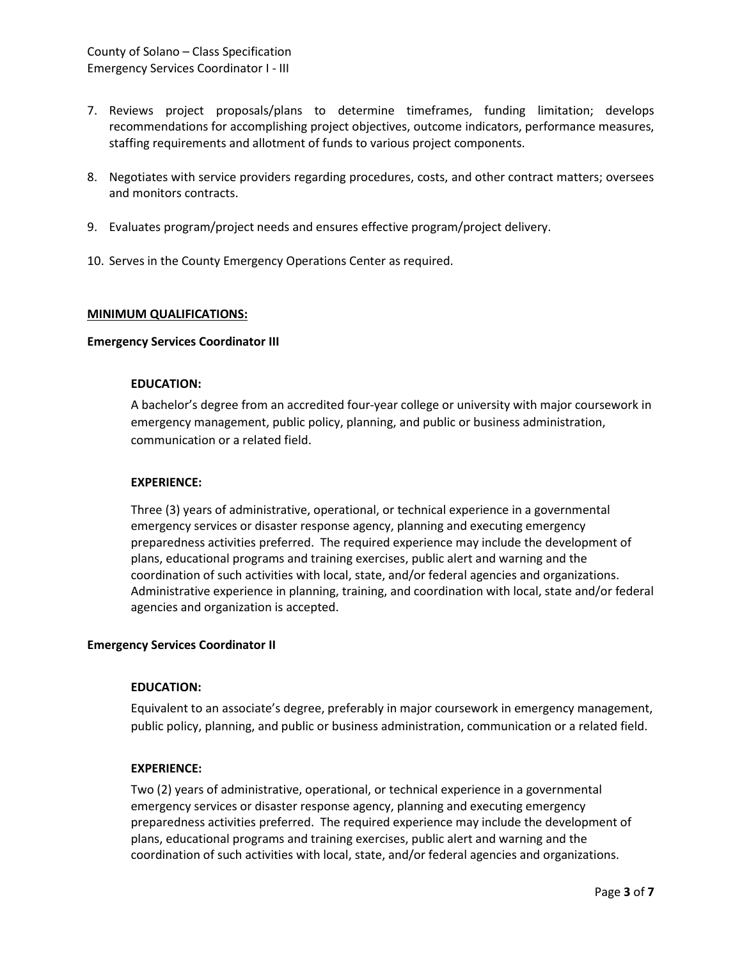- 7. Reviews project proposals/plans to determine timeframes, funding limitation; develops recommendations for accomplishing project objectives, outcome indicators, performance measures, staffing requirements and allotment of funds to various project components.
- 8. Negotiates with service providers regarding procedures, costs, and other contract matters; oversees and monitors contracts.
- 9. Evaluates program/project needs and ensures effective program/project delivery.
- 10. Serves in the County Emergency Operations Center as required.

### **MINIMUM QUALIFICATIONS:**

#### **Emergency Services Coordinator III**

#### **EDUCATION:**

A bachelor's degree from an accredited four-year college or university with major coursework in emergency management, public policy, planning, and public or business administration, communication or a related field.

#### **EXPERIENCE:**

Three (3) years of administrative, operational, or technical experience in a governmental emergency services or disaster response agency, planning and executing emergency preparedness activities preferred. The required experience may include the development of plans, educational programs and training exercises, public alert and warning and the coordination of such activities with local, state, and/or federal agencies and organizations. Administrative experience in planning, training, and coordination with local, state and/or federal agencies and organization is accepted.

#### **Emergency Services Coordinator II**

### **EDUCATION:**

Equivalent to an associate's degree, preferably in major coursework in emergency management, public policy, planning, and public or business administration, communication or a related field.

### **EXPERIENCE:**

Two (2) years of administrative, operational, or technical experience in a governmental emergency services or disaster response agency, planning and executing emergency preparedness activities preferred. The required experience may include the development of plans, educational programs and training exercises, public alert and warning and the coordination of such activities with local, state, and/or federal agencies and organizations.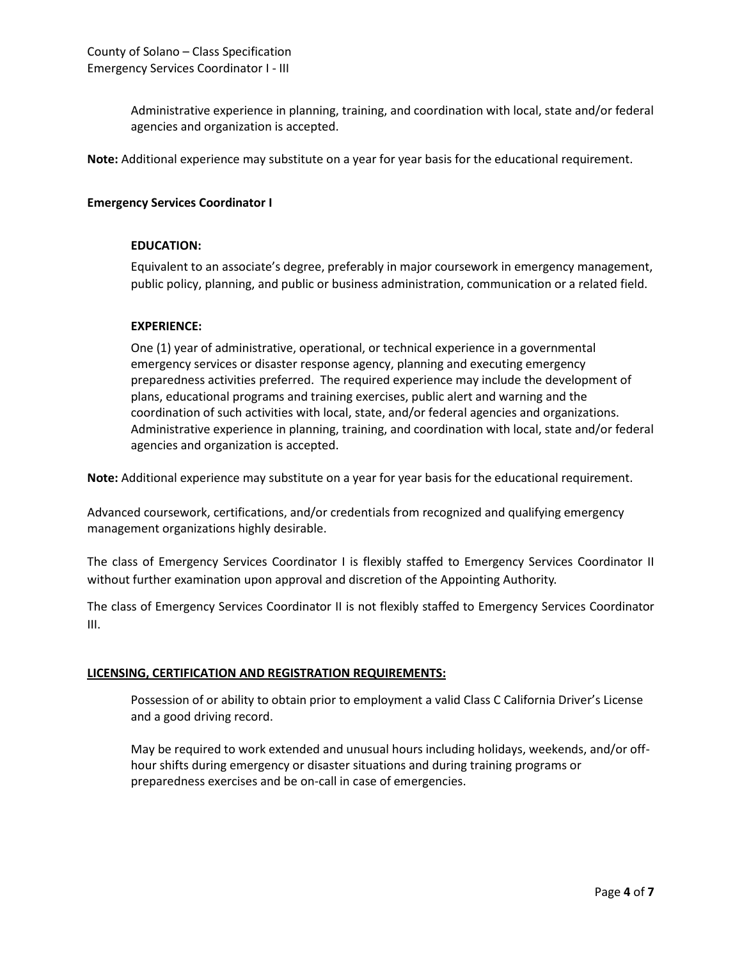Administrative experience in planning, training, and coordination with local, state and/or federal agencies and organization is accepted.

**Note:** Additional experience may substitute on a year for year basis for the educational requirement.

### **Emergency Services Coordinator I**

#### **EDUCATION:**

Equivalent to an associate's degree, preferably in major coursework in emergency management, public policy, planning, and public or business administration, communication or a related field.

### **EXPERIENCE:**

One (1) year of administrative, operational, or technical experience in a governmental emergency services or disaster response agency, planning and executing emergency preparedness activities preferred. The required experience may include the development of plans, educational programs and training exercises, public alert and warning and the coordination of such activities with local, state, and/or federal agencies and organizations. Administrative experience in planning, training, and coordination with local, state and/or federal agencies and organization is accepted.

**Note:** Additional experience may substitute on a year for year basis for the educational requirement.

Advanced coursework, certifications, and/or credentials from recognized and qualifying emergency management organizations highly desirable.

The class of Emergency Services Coordinator I is flexibly staffed to Emergency Services Coordinator II without further examination upon approval and discretion of the Appointing Authority.

The class of Emergency Services Coordinator II is not flexibly staffed to Emergency Services Coordinator III.

### **LICENSING, CERTIFICATION AND REGISTRATION REQUIREMENTS:**

Possession of or ability to obtain prior to employment a valid Class C California Driver's License and a good driving record.

May be required to work extended and unusual hours including holidays, weekends, and/or offhour shifts during emergency or disaster situations and during training programs or preparedness exercises and be on-call in case of emergencies.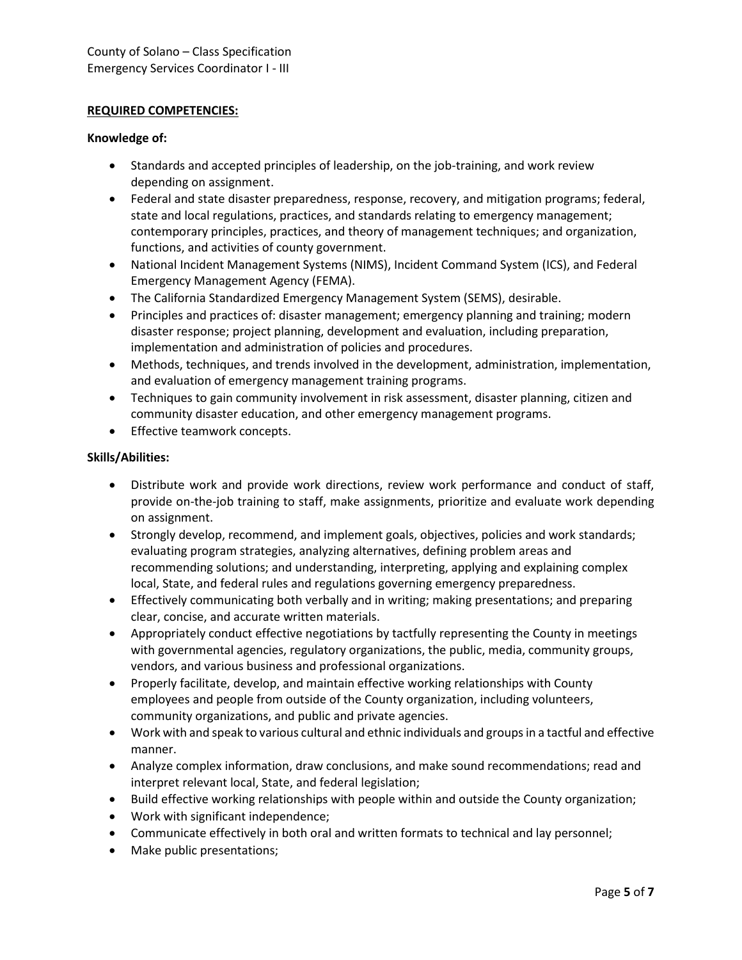## **REQUIRED COMPETENCIES:**

### **Knowledge of:**

- Standards and accepted principles of leadership, on the job-training, and work review depending on assignment.
- Federal and state disaster preparedness, response, recovery, and mitigation programs; federal, state and local regulations, practices, and standards relating to emergency management; contemporary principles, practices, and theory of management techniques; and organization, functions, and activities of county government.
- National Incident Management Systems (NIMS), Incident Command System (ICS), and Federal Emergency Management Agency (FEMA).
- The California Standardized Emergency Management System (SEMS), desirable.
- Principles and practices of: disaster management; emergency planning and training; modern disaster response; project planning, development and evaluation, including preparation, implementation and administration of policies and procedures.
- Methods, techniques, and trends involved in the development, administration, implementation, and evaluation of emergency management training programs.
- Techniques to gain community involvement in risk assessment, disaster planning, citizen and community disaster education, and other emergency management programs.
- Effective teamwork concepts.

## **Skills/Abilities:**

- Distribute work and provide work directions, review work performance and conduct of staff, provide on-the-job training to staff, make assignments, prioritize and evaluate work depending on assignment.
- Strongly develop, recommend, and implement goals, objectives, policies and work standards; evaluating program strategies, analyzing alternatives, defining problem areas and recommending solutions; and understanding, interpreting, applying and explaining complex local, State, and federal rules and regulations governing emergency preparedness.
- Effectively communicating both verbally and in writing; making presentations; and preparing clear, concise, and accurate written materials.
- Appropriately conduct effective negotiations by tactfully representing the County in meetings with governmental agencies, regulatory organizations, the public, media, community groups, vendors, and various business and professional organizations.
- Properly facilitate, develop, and maintain effective working relationships with County employees and people from outside of the County organization, including volunteers, community organizations, and public and private agencies.
- Work with and speak to various cultural and ethnic individuals and groups in a tactful and effective manner.
- Analyze complex information, draw conclusions, and make sound recommendations; read and interpret relevant local, State, and federal legislation;
- Build effective working relationships with people within and outside the County organization;
- Work with significant independence;
- Communicate effectively in both oral and written formats to technical and lay personnel;
- Make public presentations;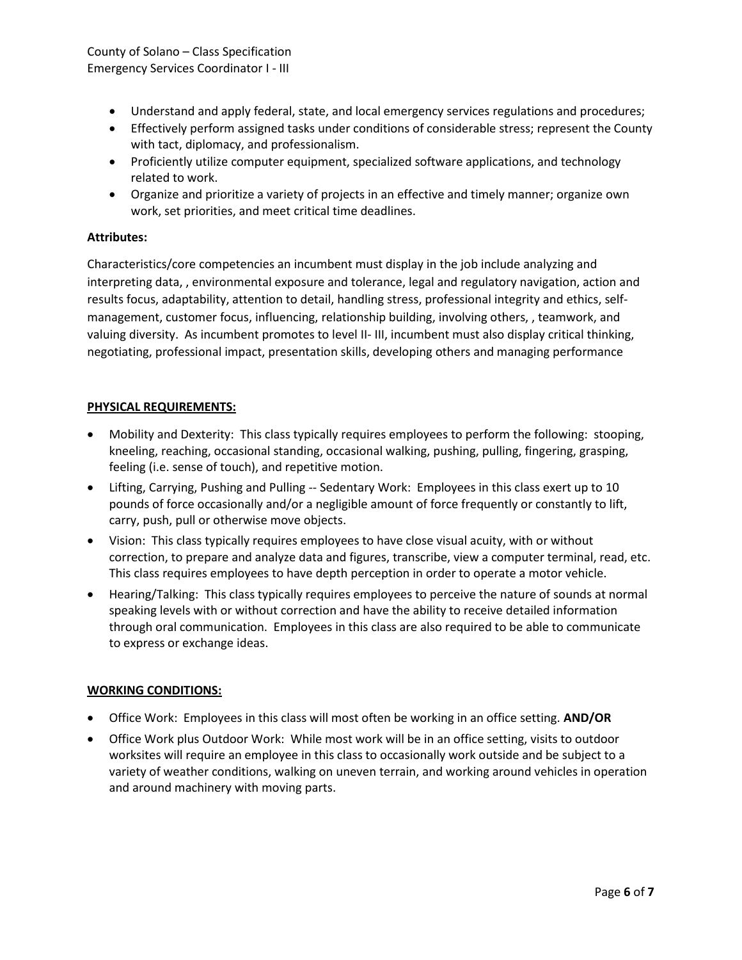# County of Solano – Class Specification Emergency Services Coordinator I - III

- Understand and apply federal, state, and local emergency services regulations and procedures;
- Effectively perform assigned tasks under conditions of considerable stress; represent the County with tact, diplomacy, and professionalism.
- Proficiently utilize computer equipment, specialized software applications, and technology related to work.
- Organize and prioritize a variety of projects in an effective and timely manner; organize own work, set priorities, and meet critical time deadlines.

# **Attributes:**

Characteristics/core competencies an incumbent must display in the job include analyzing and interpreting data, , environmental exposure and tolerance, legal and regulatory navigation, action and results focus, adaptability, attention to detail, handling stress, professional integrity and ethics, selfmanagement, customer focus, influencing, relationship building, involving others, , teamwork, and valuing diversity. As incumbent promotes to level II- III, incumbent must also display critical thinking, negotiating, professional impact, presentation skills, developing others and managing performance

# **PHYSICAL REQUIREMENTS:**

- Mobility and Dexterity: This class typically requires employees to perform the following: stooping, kneeling, reaching, occasional standing, occasional walking, pushing, pulling, fingering, grasping, feeling (i.e. sense of touch), and repetitive motion.
- Lifting, Carrying, Pushing and Pulling -- Sedentary Work: Employees in this class exert up to 10 pounds of force occasionally and/or a negligible amount of force frequently or constantly to lift, carry, push, pull or otherwise move objects.
- Vision: This class typically requires employees to have close visual acuity, with or without correction, to prepare and analyze data and figures, transcribe, view a computer terminal, read, etc. This class requires employees to have depth perception in order to operate a motor vehicle.
- Hearing/Talking: This class typically requires employees to perceive the nature of sounds at normal speaking levels with or without correction and have the ability to receive detailed information through oral communication. Employees in this class are also required to be able to communicate to express or exchange ideas.

## **WORKING CONDITIONS:**

- Office Work: Employees in this class will most often be working in an office setting. **AND/OR**
- Office Work plus Outdoor Work: While most work will be in an office setting, visits to outdoor worksites will require an employee in this class to occasionally work outside and be subject to a variety of weather conditions, walking on uneven terrain, and working around vehicles in operation and around machinery with moving parts.